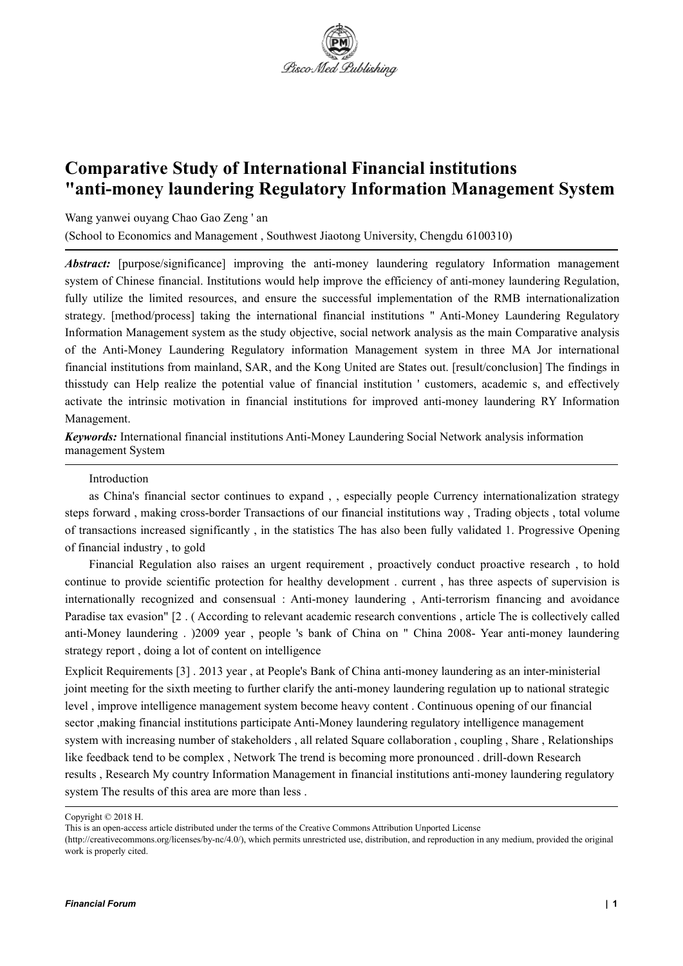

# **Comparative Study of International Financial institutions "anti-money laundering Regulatory Information Management System**

Wang yanwei ouyang Chao Gao Zeng ' an

(School to Economics and Management ,Southwest Jiaotong University, Chengdu 6100310)

*Abstract:* [purpose/significance] improving the anti-money laundering regulatory Information management system of Chinese financial. Institutions would help improve the efficiency of anti-money laundering Regulation, fully utilize the limited resources, and ensure the successful implementation of the RMB internationalization strategy. [method/process] taking the international financial institutions " Anti-Money Laundering Regulatory Information Management system as the study objective, social network analysis as the main Comparative analysis of the Anti-Money Laundering Regulatory information Management system in three MA Jor international financial institutions from mainland, SAR, and the Kong United are States out. [result/conclusion] The findings in thisstudy can Help realize the potential value of financial institution ' customers, academic s, and effectively activate the intrinsic motivation in financial institutions for improved anti-money laundering RY Information Management.

*Keywords:* International financial institutions Anti-Money Laundering Social Network analysis information management System

#### Introduction

as China's financial sector continues to expand , , especially people Currency internationalization strategy steps forward , making cross-border Transactions of our financial institutions way , Trading objects , total volume of transactions increased significantly , in the statistics The has also been fully validated 1. Progressive Opening of financial industry , to gold

Financial Regulation also raises an urgent requirement , proactively conduct proactive research , to hold continue to provide scientific protection for healthy development . current , has three aspects of supervision is internationally recognized and consensual : Anti-money laundering , Anti-terrorism financing and avoidance Paradise tax evasion" [2 . ( According to relevant academic research conventions , article The is collectively called anti-Money laundering . )2009 year , people 's bank of China on " China 2008- Year anti-money laundering strategy report , doing a lot of content on intelligence

Explicit Requirements [3] . 2013 year , at People's Bank of China anti-money laundering as an inter-ministerial joint meeting for the sixth meeting to further clarify the anti-money laundering regulation up to national strategic level, improve intelligence management system become heavy content. Continuous opening of our financial sector ,making financial institutions participate Anti-Money laundering regulatory intelligence management system with increasing number of stakeholders, all related Square collaboration, coupling, Share, Relationships like feedback tend to be complex , Network The trend is becoming more pronounced . drill-down Research results , Research My country Information Management in financial institutions anti-money laundering regulatory system The results of this area are more than less.

Copyright © 2018 H.

This is an open-access article distributed under the terms of the Creative Commons Attribution Unported License

<sup>(</sup>http://creativecommons.org/licenses/by-nc/4.0/), which permits unrestricted use, distribution, and reproduction in any medium, provided the original work is properly cited.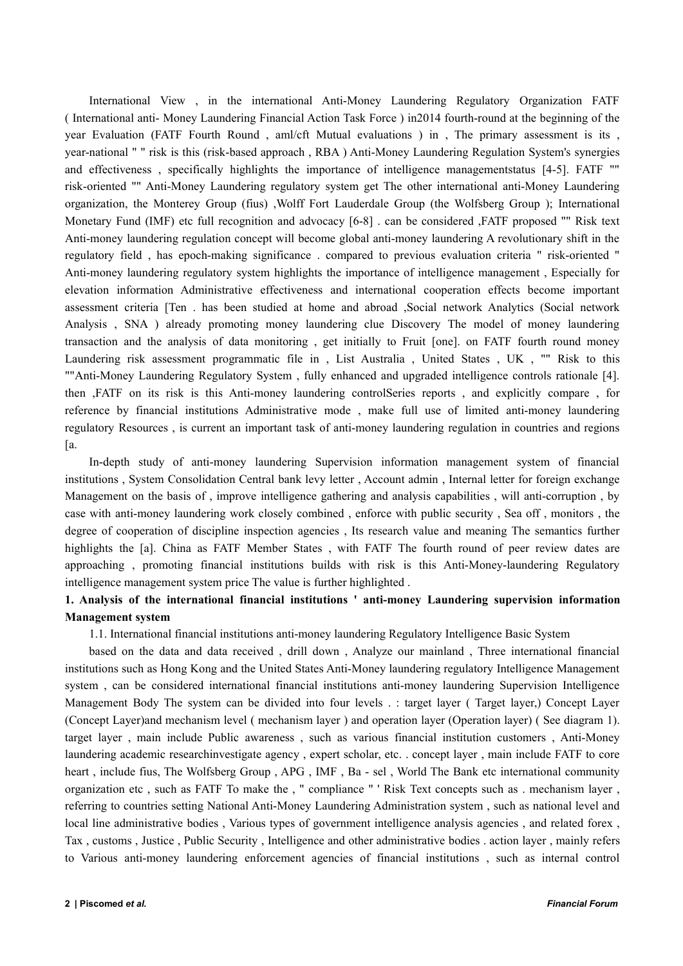International View , in the international Anti-Money Laundering Regulatory Organization FATF ( International anti- Money Laundering Financial Action Task Force )in2014 fourth-round at the beginning of the year Evaluation (FATF Fourth Round , aml/cft Mutual evaluations ) in , The primary assessment is its , year-national " " risk is this (risk-based approach , RBA ) Anti-Money Laundering Regulation System's synergies and effectiveness , specifically highlights the importance of intelligence managementstatus [4-5]. FATF "" risk-oriented "" Anti-Money Laundering regulatory system get The other international anti-Money Laundering organization, the Monterey Group (fius) ,Wolff Fort Lauderdale Group (the Wolfsberg Group ); International Monetary Fund (IMF) etc full recognition and advocacy [6-8] . can be considered ,FATF proposed "" Risk text Anti-money laundering regulation concept will become global anti-money laundering A revolutionary shift in the regulatory field , has epoch-making significance . compared to previous evaluation criteria " risk-oriented " Anti-money laundering regulatory system highlights the importance of intelligence management , Especially for elevation information Administrative effectiveness and international cooperation effects become important assessment criteria [Ten . has been studied at home and abroad ,Social network Analytics (Social network Analysis , SNA ) already promoting money laundering clue Discovery The model of money laundering transaction and the analysis of data monitoring , get initially to Fruit [one]. on FATF fourth round money Laundering risk assessment programmatic file in , List Australia , United States , UK , "" Risk to this ""Anti-Money Laundering Regulatory System , fully enhanced and upgraded intelligence controls rationale [4]. then ,FATF on its risk is this Anti-money laundering controlSeries reports , and explicitly compare , for reference by financial institutions Administrative mode , make full use of limited anti-money laundering regulatory Resources , is current an important task of anti-money laundering regulation in countries and regions [a.

In-depth study of anti-money laundering Supervision information management system of financial institutions , System Consolidation Central bank levy letter , Account admin , Internal letter for foreign exchange Management on the basis of , improve intelligence gathering and analysis capabilities , will anti-corruption , by case with anti-money laundering work closely combined , enforce with public security , Sea off , monitors , the degree of cooperation of discipline inspection agencies , Its research value and meaning The semantics further highlights the [a]. China as FATF Member States, with FATF The fourth round of peer review dates are approaching, promoting financial institutions builds with risk is this Anti-Money-laundering Regulatory intelligence management system price The value is further highlighted .

## **1. Analysis of the international financial institutions ' anti-money Laundering supervision information Management system**

1.1. International financial institutions anti-money laundering Regulatory Intelligence Basic System

based on the data and data received , drill down , Analyze our mainland , Three international financial institutions such as Hong Kong and the United States Anti-Money laundering regulatory Intelligence Management system , can be considered international financial institutions anti-money laundering Supervision Intelligence Management Body The system can be divided into four levels . : target layer ( Target layer,) Concept Layer (Concept Layer)and mechanism level ( mechanism layer ) and operation layer (Operation layer) ( See diagram 1). target layer , main include Public awareness , such as various financial institution customers , Anti-Money laundering academic researchinvestigate agency, expert scholar, etc. . concept layer, main include FATF to core heart, include fius, The Wolfsberg Group, APG, IMF, Ba - sel, World The Bank etc international community organization etc , such as FATF To make the , " compliance " ' Risk Text concepts such as . mechanism layer , referring to countries setting National Anti-Money Laundering Administration system , such as national level and local line administrative bodies , Various types of government intelligence analysis agencies , and related forex , Tax , customs , Justice , Public Security , Intelligence and other administrative bodies . action layer , mainly refers to Various anti-money laundering enforcement agencies of financial institutions , such as internal control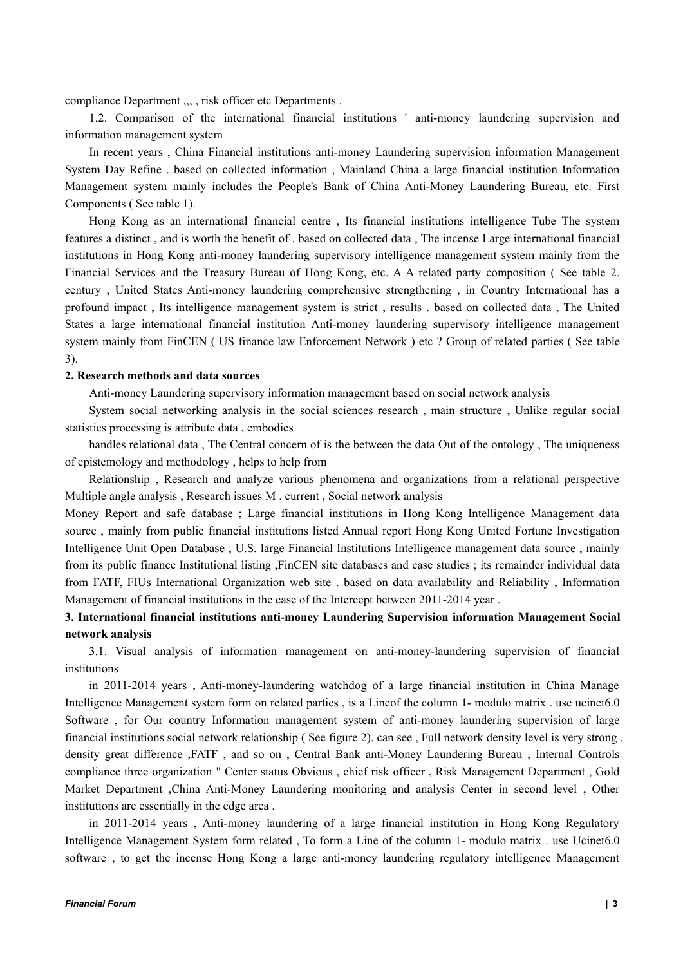compliance Department ,,, , risk officer etc Departments .

1.2. Comparison of the international financial institutions ' anti-money laundering supervision and information management system

In recent years , China Financial institutions anti-money Laundering supervision information Management System Day Refine . based on collected information , Mainland China a large financial institution Information Management system mainly includes the People's Bank of China Anti-Money Laundering Bureau, etc. First Components ( See table 1).

Hong Kong as an international financial centre , Its financial institutions intelligence Tube The system features a distinct, and is worth the benefit of . based on collected data, The incense Large international financial institutions in Hong Kong anti-money laundering supervisory intelligence management system mainly from the Financial Services and the Treasury Bureau of Hong Kong, etc. A A related party composition ( See table 2. century , United States Anti-money laundering comprehensive strengthening , in Country International has a profound impact , Its intelligence management system is strict , results . based on collected data , The United States a large international financial institution Anti-money laundering supervisory intelligence management system mainly from FinCEN (US finance law Enforcement Network) etc ? Group of related parties (See table 3).

#### **2. Research methods and data sources**

Anti-money Laundering supervisory information management based on social network analysis

System social networking analysis in the social sciences research , main structure , Unlike regular social statistics processing is attribute data , embodies

handles relational data , The Central concern of is the between the data Out of the ontology , The uniqueness of epistemology and methodology , helps to help from

Relationship , Research and analyze various phenomena and organizations from a relational perspective Multiple angle analysis, Research issues M. current, Social network analysis

Money Report and safe database ; Large financial institutions in Hong Kong Intelligence Management data source , mainly from public financial institutions listed Annual report Hong Kong United Fortune Investigation Intelligence Unit Open Database ; U.S. large Financial Institutions Intelligence management data source , mainly from its public finance Institutional listing ,FinCEN site databases and case studies ; its remainder individual data from FATF, FIUs International Organization web site . based on data availability and Reliability , Information Management of financial institutions in the case of the Intercept between 2011-2014 year .

## **3. International financial institutions anti-money Laundering Supervision information Management Social network analysis**

3.1. Visual analysis of information management on anti-money-laundering supervision of financial institutions

in 2011-2014 years , Anti-money-laundering watchdog of a large financial institution in China Manage Intelligence Management system form on related parties, is a Lineof the column 1- modulo matrix . use ucinet6.0 Software , for Our country Information management system of anti-money laundering supervision of large financial institutions social network relationship ( See figure 2). can see , Full network density level is very strong , density great difference ,FATF, and so on, Central Bank anti-Money Laundering Bureau, Internal Controls compliance three organization " Center status Obvious , chief risk officer , Risk Management Department , Gold Market Department ,China Anti-Money Laundering monitoring and analysis Center in second level , Other institutions are essentially in the edge area .

in 2011-2014 years , Anti-money laundering of a large financial institution in Hong Kong Regulatory Intelligence Management System form related , To form a Line of the column 1- modulo matrix . use Ucinet6.0 software , to get the incense Hong Kong a large anti-money laundering regulatory intelligence Management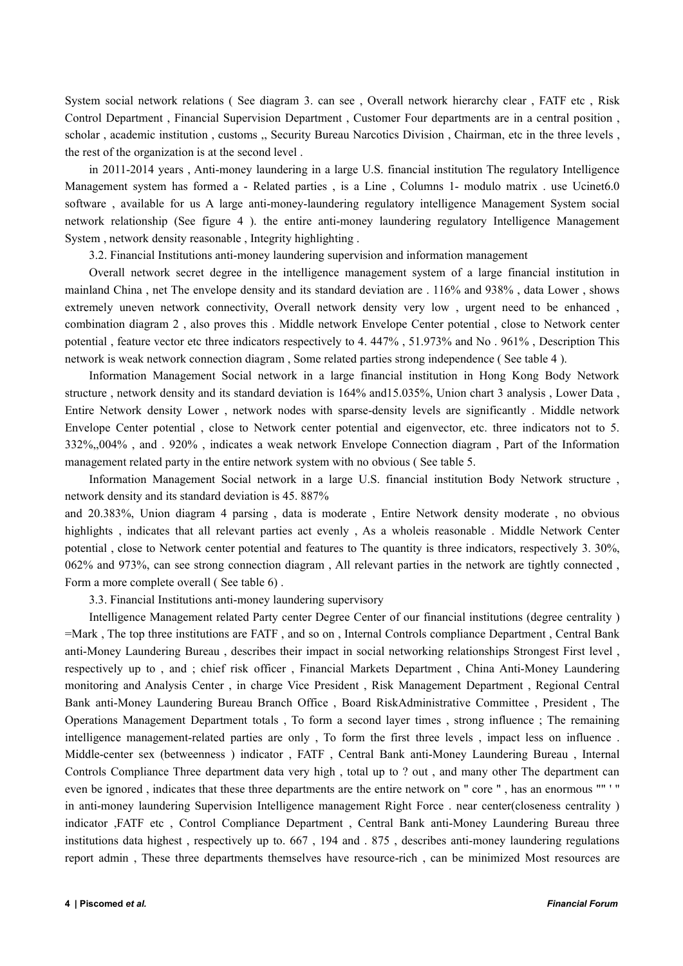System social network relations ( See diagram 3. can see , Overall network hierarchy clear , FATF etc , Risk Control Department, Financial Supervision Department, Customer Four departments are in a central position, scholar , academic institution , customs ,, Security Bureau Narcotics Division , Chairman, etc in the three levels , the rest of the organization is at the second level .<br>in 2011-2014 years , Anti-money laundering in a large U.S. financial institution The regulatory Intelligence

Management system has formed a - Related parties , is a Line , Columns 1- modulo matrix . use Ucinet6.0 software , available for us A large anti-money-laundering regulatory intelligence Management System social network relationship (See figure 4 ). the entire anti-money laundering regulatory Intelligence Management System , network density reasonable , Integrity highlighting .

3.2. Financial Institutions anti-money laundering supervision and information management

Overall network secret degree in the intelligence management system of a large financial institution in mainland China , net The envelope density and its standard deviation are . 116% and 938% , data Lower , shows extremely uneven network connectivity, Overall network density very low , urgent need to be enhanced , combination diagram 2 , also proves this . Middle network Envelope Center potential , close to Network center potential , feature vector etc three indicators respectively to 4. 447% , 51.973% and No . 961% , Description This network is weak network connection diagram , Some related parties strong independence ( See table 4 ).

Information Management Social network in a large financial institution in Hong Kong Body Network structure , network density and its standard deviation is 164% and15.035%, Union chart 3 analysis , Lower Data , Entire Network density Lower , network nodes with sparse-density levels are significantly . Middle network Envelope Center potential , close to Network center potential and eigenvector, etc. three indicators not to 5. 332%,,004% , and . 920% , indicates a weak network Envelope Connection diagram , Part of the Information management related party in the entire network system with no obvious ( See table 5.

Information Management Social network in a large U.S. financial institution Body Network structure, network density and its standard deviation is 45. 887%

and 20.383%, Union diagram 4 parsing , data is moderate , Entire Network density moderate , no obvious highlights , indicates that all relevant parties act evenly , As a wholeis reasonable . Middle Network Center potential , close to Network center potential and features to The quantity is three indicators, respectively 3. 30%, 062% and 973%, can see strong connection diagram , All relevant parties in the network are tightly connected , Form a more complete overall ( See table 6) .

3.3. Financial Institutions anti-money laundering supervisory

Intelligence Management related Party center Degree Center of our financial institutions (degree centrality ) =Mark, The top three institutions are FATF, and so on, Internal Controls compliance Department, Central Bank anti-Money Laundering Bureau , describes their impact in social networking relationships Strongest First level , respectively up to, and; chief risk officer, Financial Markets Department, China Anti-Money Laundering monitoring and Analysis Center , in charge Vice President , Risk Management Department , Regional Central Bank anti-Money Laundering Bureau Branch Office , Board RiskAdministrative Committee , President , The Operations Management Department totals , To form a second layer times , strong influence ; The remaining intelligence management-related parties are only , To form the first three levels , impact less on influence . Middle-center sex (betweenness ) indicator , FATF , Central Bank anti-Money Laundering Bureau , Internal Controls Compliance Three department data very high , total up to ? out , and many other The department can even be ignored , indicates that these three departments are the entire network on " core ", has an enormous "" ' " in anti-money laundering Supervision Intelligence management Right Force . near center(closeness centrality ) indicator ,FATF etc , Control Compliance Department , Central Bank anti-Money Laundering Bureau three institutions data highest , respectively up to. 667 , 194 and . 875 , describes anti-money laundering regulations report admin , These three departments themselves have resource-rich , can be minimized Most resources are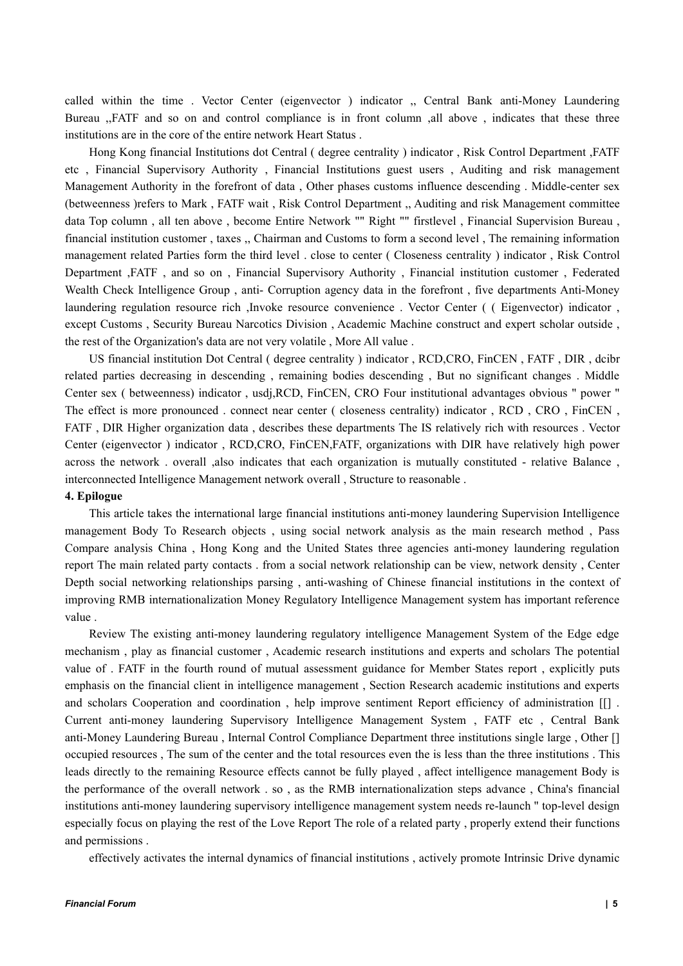called within the time . Vector Center (eigenvector ) indicator ,, Central Bank anti-Money Laundering Bureau ,,FATF and so on and control compliance is in front column ,all above , indicates that these three institutions are in the core of the entire network Heart Status .

Hong Kong financial Institutions dot Central ( degree centrality ) indicator , Risk Control Department ,FATF etc , Financial Supervisory Authority , Financial Institutions guest users , Auditing and risk management Management Authority in the forefront of data , Other phases customs influence descending . Middle-center sex (betweenness )refers to Mark , FATF wait , Risk Control Department ,, Auditing and risk Management committee data Top column , all ten above , become Entire Network "" Right "" firstlevel , Financial Supervision Bureau , financial institution customer , taxes ,, Chairman and Customs to form a second level ,The remaining information management related Parties form the third level . close to center ( Closeness centrality ) indicator , Risk Control Department ,FATF , and so on , Financial Supervisory Authority , Financial institution customer , Federated Wealth Check Intelligence Group , anti- Corruption agency data in the forefront , five departments Anti-Money laundering regulation resource rich ,Invoke resource convenience . Vector Center ( ( Eigenvector) indicator , except Customs , Security Bureau Narcotics Division , Academic Machine construct and expert scholar outside , the rest of the Organization's data are not very volatile , More All value .

US financial institution Dot Central ( degree centrality ) indicator , RCD,CRO, FinCEN , FATF , DIR , dcibr related parties decreasing in descending , remaining bodies descending , But no significant changes . Middle Center sex ( betweenness) indicator , usdj,RCD, FinCEN, CRO Four institutional advantages obvious " power " The effect is more pronounced . connect near center ( closeness centrality) indicator , RCD , CRO , FinCEN , FATF, DIR Higher organization data, describes these departments The IS relatively rich with resources. Vector Center (eigenvector ) indicator , RCD,CRO, FinCEN,FATF, organizations with DIR have relatively high power across the network . overall ,also indicates that each organization is mutually constituted - relative Balance , interconnected Intelligence Management network overall, Structure to reasonable.

#### **4. Epilogue**

This article takes the international large financial institutions anti-money laundering Supervision Intelligence management Body To Research objects , using social network analysis as the main research method , Pass Compare analysis China , Hong Kong and the United States three agencies anti-money laundering regulation report The main related party contacts . from a social network relationship can be view, network density , Center Depth social networking relationships parsing , anti-washing of Chinese financial institutions in the context of improving RMB internationalization Money Regulatory Intelligence Management system has important reference value .

Review The existing anti-money laundering regulatory intelligence Management System of the Edge edge mechanism , play as financial customer , Academic research institutions and experts and scholars The potential value of . FATF in the fourth round of mutual assessment guidance for Member States report , explicitly puts emphasis on the financial client in intelligence management, Section Research academic institutions and experts and scholars Cooperation and coordination , help improve sentiment Report efficiency of administration [[] . Current anti-money laundering Supervisory Intelligence Management System , FATF etc , Central Bank anti-Money Laundering Bureau , Internal Control Compliance Department three institutions single large , Other [] occupied resources , The sum of the center and the total resources even the is less than the three institutions . This leads directly to the remaining Resource effects cannot be fully played , affect intelligence management Body is the performance of the overall network . so, as the RMB internationalization steps advance, China's financial institutions anti-money laundering supervisory intelligence management system needs re-launch " top-level design especially focus on playing the rest of the Love Report The role of a related party , properly extend their functions and permissions .

effectively activates the internal dynamics of financial institutions , actively promote Intrinsic Drive dynamic